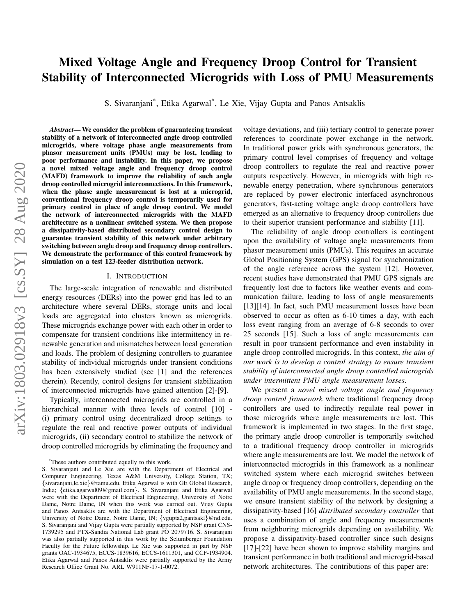# Mixed Voltage Angle and Frequency Droop Control for Transient Stability of Interconnected Microgrids with Loss of PMU Measurements

S. Sivaranjani\* , Etika Agarwal\* , Le Xie, Vijay Gupta and Panos Antsaklis

*Abstract*— We consider the problem of guaranteeing transient stability of a network of interconnected angle droop controlled microgrids, where voltage phase angle measurements from phasor measurement units (PMUs) may be lost, leading to poor performance and instability. In this paper, we propose a novel mixed voltage angle and frequency droop control (MAFD) framework to improve the reliability of such angle droop controlled microgrid interconnections. In this framework, when the phase angle measurement is lost at a microgrid, conventional frequency droop control is temporarily used for primary control in place of angle droop control. We model the network of interconnected microgrids with the MAFD architecture as a nonlinear switched system. We then propose a dissipativity-based distributed secondary control design to guarantee transient stability of this network under arbitrary switching between angle droop and frequency droop controllers. We demonstrate the performance of this control framework by simulation on a test 123-feeder distribution network.

#### I. INTRODUCTION

The large-scale integration of renewable and distributed energy resources (DERs) into the power grid has led to an architecture where several DERs, storage units and local loads are aggregated into clusters known as microgrids. These microgrids exchange power with each other in order to compensate for transient conditions like intermittency in renewable generation and mismatches between local generation and loads. The problem of designing controllers to guarantee stability of individual microgrids under transient conditions has been extensively studied (see [1] and the references therein). Recently, control designs for transient stabilization of interconnected microgrids have gained attention [2]-[9].

Typically, interconnected microgrids are controlled in a hierarchical manner with three levels of control [10] -(i) primary control using decentralized droop settings to regulate the real and reactive power outputs of individual microgrids, (ii) secondary control to stabilize the network of droop controlled microgrids by eliminating the frequency and

voltage deviations, and (iii) tertiary control to generate power references to coordinate power exchange in the network. In traditional power grids with synchronous generators, the primary control level comprises of frequency and voltage droop controllers to regulate the real and reactive power outputs respectively. However, in microgrids with high renewable energy penetration, where synchronous generators are replaced by power electronic interfaced asynchronous generators, fast-acting voltage angle droop controllers have emerged as an alternative to frequency droop controllers due to their superior transient performance and stability [11].

The reliability of angle droop controllers is contingent upon the availability of voltage angle measurements from phasor measurement units (PMUs). This requires an accurate Global Positioning System (GPS) signal for synchronization of the angle reference across the system [12]. However, recent studies have demonstrated that PMU GPS signals are frequently lost due to factors like weather events and communication failure, leading to loss of angle measurements [13][14]. In fact, such PMU measurement losses have been observed to occur as often as 6-10 times a day, with each loss event ranging from an average of 6-8 seconds to over 25 seconds [15]. Such a loss of angle measurements can result in poor transient performance and even instability in angle droop controlled microgrids. In this context, *the aim of our work is to develop a control strategy to ensure transient stability of interconnected angle droop controlled microgrids under intermittent PMU angle measurement losses*.

We present a *novel mixed voltage angle and frequency droop control framework* where traditional frequency droop controllers are used to indirectly regulate real power in those microgrids where angle measurements are lost. This framework is implemented in two stages. In the first stage, the primary angle droop controller is temporarily switched to a traditional frequency droop controller in microgrids where angle measurements are lost. We model the network of interconnected microgrids in this framework as a nonlinear switched system where each microgrid switches between angle droop or frequency droop controllers, depending on the availability of PMU angle measurements. In the second stage, we ensure transient stability of the network by designing a dissipativity-based [16] *distributed secondary controller* that uses a combination of angle and frequency measurements from neighboring microgrids depending on availability. We propose a dissipativity-based controller since such designs [17]-[22] have been shown to improve stability margins and transient performance in both traditional and microgrid-based network architectures. The contributions of this paper are:

<sup>\*</sup>These authors contributed equally to this work.

S. Sivaranjani and Le Xie are with the Department of Electrical and Computer Engineering, Texas A&M University, College Station, TX; {sivaranjani,le.xie}@tamu.edu. Etika Agarwal is with GE Global Research, India; {etika.agarwal09@gmail.com}. S. Sivaranjani and Etika Agarwal were with the Department of Electrical Engineering, University of Notre Dame, Notre Dame, IN when this work was carried out. Vijay Gupta and Panos Antsaklis are with the Department of Electrical Engineering, University of Notre Dame, Notre Dame, IN; {vgupta2,pantsakl}@nd.edu. S. Sivaranjani and Vijay Gupta were partially supported by NSF grant CNS-1739295 and PTX-Sandia National Lab grant PO 2079716. S. Sivaranjani was also partially supported in this work by the Sclumberger Foundation Faculty for the Future fellowship. Le Xie was supported in part by NSF grants OAC-1934675, ECCS-1839616, ECCS-1611301, and CCF-1934904. Etika Agarwal and Panos Antsaklis were partially supported by the Army Research Office Grant No. ARL W911NF-17-1-0072.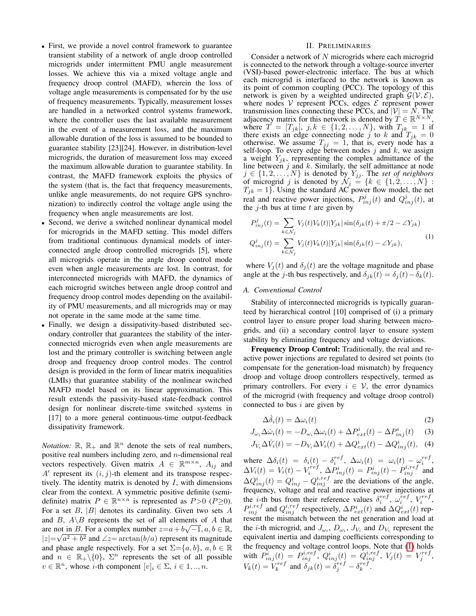- First, we provide a novel control framework to guarantee transient stability of a network of angle droop controlled microgrids under intermittent PMU angle measurement losses. We achieve this via a mixed voltage angle and frequency droop control (MAFD), wherein the loss of voltage angle measurements is compensated for by the use of frequency measurements. Typically, measurement losses are handled in a networked control systems framework, where the controller uses the last available measurement in the event of a measurement loss, and the maximum allowable duration of the loss is assumed to be bounded to guarantee stability [23][24]. However, in distribution-level microgrids, the duration of measurement loss may exceed the maximum allowable duration to guarantee stability. In contrast, the MAFD framework exploits the physics of the system (that is, the fact that frequency measurements, unlike angle measurements, do not require GPS synchronization) to indirectly control the voltage angle using the frequency when angle measurements are lost.
- Second, we derive a switched nonlinear dynamical model for microgrids in the MAFD setting. This model differs from traditional continuous dynamical models of interconnected angle droop controlled microgrids [5], where all microgrids operate in the angle droop control mode even when angle measurements are lost. In contrast, for interconnected microgrids with MAFD, the dynamics of each microgrid switches between angle droop control and frequency droop control modes depending on the availability of PMU measurements, and all microgrids may or may not operate in the same mode at the same time.
- Finally, we design a dissipativity-based distributed secondary controller that guarantees the stability of the interconnected microgrids even when angle measurements are lost and the primary controller is switching between angle droop and frequency droop control modes. The control design is provided in the form of linear matrix inequalities (LMIs) that guarantee stability of the nonlinear switched MAFD model based on its linear approximation. This result extends the passivity-based state-feedback control design for nonlinear discrete-time switched systems in [17] to a more general continuous-time output-feedback dissipativity framework.

*Notation:*  $\mathbb{R}$ ,  $\mathbb{R}_+$  and  $\mathbb{R}^n$  denote the sets of real numbers, positive real numbers including zero, and  $n$ -dimensional real vectors respectively. Given matrix  $A \in \mathbb{R}^{m \times n}$ ,  $A_{ij}$  and  $A'$  represent its  $(i, j)$ -th element and its transpose respectively. The identity matrix is denoted by  $I$ , with dimensions clear from the context. A symmetric positive definite (semidefinite) matrix  $P \in \mathbb{R}^{n \times n}$  is represented as  $P > 0$  ( $P \ge 0$ ). For a set  $B$ ,  $|B|$  denotes its cardinality. Given two sets  $A$ and B,  $A \setminus B$  represents the set of all elements of A that are not in B. For a complex number  $z=a+b\sqrt{-1}, a, b \in \mathbb{R}$ ,  $|z| = \sqrt{a^2 + b^2}$  and  $\angle z = \arctan(b/a)$  represent its magnitude and phase angle respectively. For a set  $\Sigma = \{a, b\}$ ,  $a, b \in \mathbb{R}$ and  $n \in \mathbb{R}_+ \backslash \{0\}$ ,  $\Sigma^n$  represents the set of all possible  $v \in \mathbb{R}^n$ , whose *i*-th component  $[v]_i \in \Sigma$ ,  $i \in 1, ..., n$ .

## II. PRELIMINARIES

Consider a network of N microgrids where each microgrid is connected to the network through a voltage-source inverter (VSI)-based power-electronic interface. The bus at which each microgrid is interfaced to the network is known as its point of common coupling (PCC). The topology of this network is given by a weighted undirected graph  $G(V, \mathcal{E})$ , where nodes  $V$  represent PCCs, edges  $E$  represent power transmission lines connecting these PCCs, and  $|\mathcal{V}| = \overline{N}$ . The adjacency matrix for this network is denoted by  $T \in \mathbb{R}^{N \times N}$ , where  $T = [T_{jk}]$ ,  $j, k \in \{1, 2, ..., N\}$ , with  $T_{jk} = 1$  if there exists an edge connecting node j to k and  $T_{jk} = 0$ otherwise. We assume  $T_{jj} = 1$ , that is, every node has a self-loop. To every edge between nodes  $j$  and  $k$ , we assign a weight  $Y_{jk}$ , representing the complex admittance of the line between  $j$  and  $k$ . Similarly, the self admittance at node  $j \in \{1, 2, \ldots, N\}$  is denoted by  $Y_{jj}$ . The *set of neighbors* of microgrid j is denoted by  $\mathcal{N}_j = \{k \in \{1, 2, ..., N\}$ :  $T_{jk} = 1$ . Using the standard AC power flow model, the net real and reactive power injections,  $P_{inj}^{j}(t)$  and  $Q_{inj}^{j}(t)$ , at the  $j$ -th bus at time  $t$  are given by

<span id="page-1-0"></span>
$$
P_{inj}^{j}(t) = \sum_{k \in \mathcal{N}_{j}} V_{j}(t)V_{k}(t)|Y_{jk}| \sin(\delta_{jk}(t) + \pi/2 - \angle Y_{jk})
$$
  

$$
Q_{inj}^{j}(t) = \sum_{k \in \mathcal{N}_{j}} V_{j}(t)V_{k}(t)|Y_{jk}| \sin(\delta_{jk}(t) - \angle Y_{jk}),
$$
 (1)

where  $V_j(t)$  and  $\delta_j(t)$  are the voltage magnitude and phase angle at the j-th bus respectively, and  $\delta_{ik}(t) = \delta_i(t) - \delta_k(t)$ .

# *A. Conventional Control*

Stability of interconnected microgrids is typically guaranteed by hierarchical control [10] comprised of (i) a primary control layer to ensure proper load sharing between microgrids, and (ii) a secondary control layer to ensure system stability by eliminating frequency and voltage deviations.

Frequency Droop Control: Traditionally, the real and reactive power injections are regulated to desired set points (to compensate for the generation-load mismatch) by frequency droop and voltage droop controllers respectively, termed as primary controllers. For every  $i \in \mathcal{V}$ , the error dynamics of the microgrid (with frequency and voltage droop control) connected to bus  $i$  are given by

<span id="page-1-3"></span><span id="page-1-2"></span><span id="page-1-1"></span>
$$
\Delta \dot{\delta}_i(t) = \Delta \omega_i(t) \tag{2}
$$

$$
J_{\omega_i} \Delta \dot{\omega}_i(t) = -D_{\omega_i} \Delta \omega_i(t) + \Delta P_{ext}^i(t) - \Delta P_{inj}^i(t) \tag{3}
$$

$$
J_{V_i}\Delta\dot{V}_i(t) = -D_{V_i}\Delta V_i(t) + \Delta Q_{ext}^i(t) - \Delta Q_{inj}^i(t), \quad (4)
$$

where  $\Delta \delta_i(t) = \delta_i(t) - \delta_i^{ref}$ ,  $\Delta \omega_i(t) = \omega_i(t) - \omega_i^{ref}$ ,  $\Delta V_i(t) = V_i(t) - V_i^{ref}, \, \Delta P_{inj}^i(t) = P_{inj}^i(t) - P_{inj}^{i,ref}$  and  $\Delta Q_{inj}^{i}(t) = Q_{inj}^{i} - Q_{inj}^{i,ref}$  are the deviations of the angle, frequency, voltage and real and reactive power injections at the *i*-th bus from their reference values  $\delta_i^{ref}$ ,  $\omega_i^{ref}$ ,  $V_i^{ref}$ ,  $P_{inj}^{i,ref}$  and  $Q_{inj}^{i,ref}$  respectively,  $\Delta P_{ext}^{i}(t)$  and  $\Delta Q_{ext}^{i}(t)$  represent the mismatch between the net generation and load at the *i*-th microgrid, and  $J_{\omega_i}$ ,  $D_{\omega_i}$ ,  $J_{V_i}$  and  $D_{V_i}$  represent the equivalent inertia and damping coefficients corresponding to the frequency and voltage control loops. Note that [\(1\)](#page-1-0) holds with  $\hat{P^i_{inj}}(t)\,=\,P^{i,ref}_{inj},\,\tilde{Q}^i_{inj}(t)\,=\,\tilde{Q}^{i,ref}_{inj},\,\,V_j(t)\,=\,V_j^{ref},$  $V_k(t) = V_k^{ref}$  and  $\delta_{jk}(t) = \delta_j^{ref} - \delta_k^{ref}$ .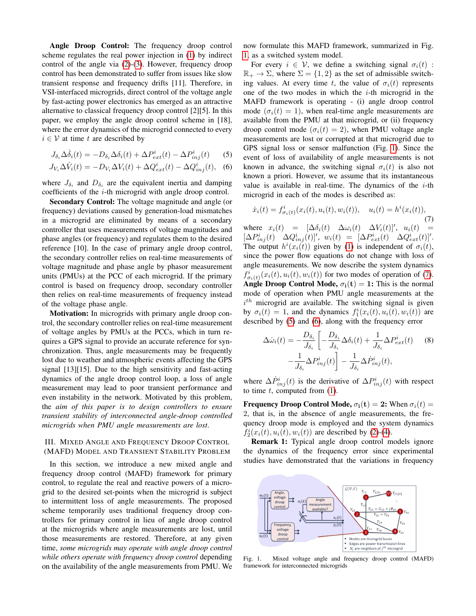Angle Droop Control: The frequency droop control scheme regulates the real power injection in [\(1\)](#page-1-0) by indirect control of the angle via [\(2\)](#page-1-1)-[\(3\)](#page-1-2). However, frequency droop control has been demonstrated to suffer from issues like slow transient response and frequency drifts [11]. Therefore, in VSI-interfaced microgrids, direct control of the voltage angle by fast-acting power electronics has emerged as an attractive alternative to classical frequency droop control [2][5]. In this paper, we employ the angle droop control scheme in [18], where the error dynamics of the microgrid connected to every  $i \in V$  at time t are described by

$$
J_{\delta_i} \Delta \dot{\delta}_i(t) = -D_{\delta_i} \Delta \delta_i(t) + \Delta P_{ext}^i(t) - \Delta P_{inj}^i(t) \tag{5}
$$

$$
J_{V_i}\Delta\dot{V}_i(t) = -D_{V_i}\Delta V_i(t) + \Delta Q_{ext}^i(t) - \Delta Q_{inj}^i(t),
$$
 (6)

where  $J_{\delta_i}$  and  $D_{\delta_i}$  are the equivalent inertia and damping coefficients of the i-th microgrid with angle droop control.

Secondary Control: The voltage magnitude and angle (or frequency) deviations caused by generation-load mismatches in a microgrid are eliminated by means of a secondary controller that uses measurements of voltage magnitudes and phase angles (or frequency) and regulates them to the desired reference [10]. In the case of primary angle droop control, the secondary controller relies on real-time measurements of voltage magnitude and phase angle by phasor measurement units (PMUs) at the PCC of each microgrid. If the primary control is based on frequency droop, secondary controller then relies on real-time measurements of frequency instead of the voltage phase angle.

Motivation: In microgrids with primary angle droop control, the secondary controller relies on real-time measurement of voltage angles by PMUs at the PCCs, which in turn requires a GPS signal to provide an accurate reference for synchronization. Thus, angle measurements may be frequently lost due to weather and atmospheric events affecting the GPS signal [13][15]. Due to the high sensitivity and fast-acting dynamics of the angle droop control loop, a loss of angle measurement may lead to poor transient performance and even instability in the network. Motivated by this problem, the *aim of this paper is to design controllers to ensure transient stability of interconnected angle-droop controlled microgrids when PMU angle measurements are lost*.

# <span id="page-2-5"></span>III. MIXED ANGLE AND FREQUENCY DROOP CONTROL (MAFD) MODEL AND TRANSIENT STABILITY PROBLEM

In this section, we introduce a new mixed angle and frequency droop control (MAFD) framework for primary control, to regulate the real and reactive powers of a microgrid to the desired set-points when the microgrid is subject to intermittent loss of angle measurements. The proposed scheme temporarily uses traditional frequency droop controllers for primary control in lieu of angle droop control at the microgrids where angle measurements are lost, until those measurements are restored. Therefore, at any given time, *some microgrids may operate with angle droop control while others operate with frequency droop control* depending on the availability of the angle measurements from PMU. We now formulate this MAFD framework, summarized in Fig. [1,](#page-2-0) as a switched system model.

For every  $i \in V$ , we define a switching signal  $\sigma_i(t)$ :  $\mathbb{R}_+ \to \Sigma$ , where  $\Sigma = \{1, 2\}$  as the set of admissible switching values. At every time t, the value of  $\sigma_i(t)$  represents one of the two modes in which the  $i$ -th microgrid in the MAFD framework is operating - (i) angle droop control mode  $(\sigma_i(t) = 1)$ , when real-time angle measurements are available from the PMU at that microgrid, or (ii) frequency droop control mode  $(\sigma_i(t) = 2)$ , when PMU voltage angle measurements are lost or corrupted at that microgrid due to GPS signal loss or sensor malfunction (Fig. [1\)](#page-2-0). Since the event of loss of availability of angle measurements is not known in advance, the switching signal  $\sigma_i(t)$  is also not known a priori. However, we assume that its instantaneous value is available in real-time. The dynamics of the  $i$ -th microgrid in each of the modes is described as:

<span id="page-2-3"></span><span id="page-2-2"></span><span id="page-2-1"></span>
$$
\dot{x}_i(t) = f^i_{\sigma_i(t)}(x_i(t), u_i(t), w_i(t)), \quad u_i(t) = h^i(x_i(t)),
$$
\n(7)

where  $x_i(t) = [\Delta \delta_i(t) \ \Delta \omega_i(t) \ \Delta V_i(t)]'$ ,  $u_i(t) =$  $[\Delta P_{inj}^i(t) \quad \Delta Q_{inj}^i(t)]', \ w_i(t) = [\Delta P_{ext}^i(t) \quad \Delta Q_{ext}^i(t)]'.$ The output  $h^{i}(x_i(t))$  given by [\(1\)](#page-1-0) is independent of  $\sigma_i(t)$ , since the power flow equations do not change with loss of angle measurements. We now describe the system dynamics  $f^i_{\sigma_i(t)}(x_i(t), u_i(t), w_i(t))$  for two modes of operation of [\(7\)](#page-2-1). **Angle Droop Control Mode,**  $\sigma_i(t) = 1$ : This is the normal mode of operation when PMU angle measurements at the  $i^{th}$  microgrid are available. The switching signal is given by  $\sigma_i(t) = 1$ , and the dynamics  $f_1^i(x_i(t), u_i(t), w_i(t))$  are described by [\(5\)](#page-2-2) and [\(6\)](#page-2-3), along with the frequency error

<span id="page-2-4"></span>
$$
\Delta \dot{\omega}_i(t) = -\frac{D_{\delta_i}}{J_{\delta_i}} \left[ -\frac{D_{\delta_i}}{J_{\delta_i}} \Delta \delta_i(t) + \frac{1}{J_{\delta_i}} \Delta P_{ext}^i(t) \right] - \frac{1}{J_{\delta_i}} \Delta P_{inj}^i(t) \right] - \frac{1}{J_{\delta_i}} \Delta \dot{P}_{inj}^i(t),
$$
\n(8)

where  $\Delta P_{inj}^i(t)$  is the derivative of  $\Delta P_{inj}^i(t)$  with respect to time  $t$ , computed from  $(1)$ .

**Frequency Droop Control Mode,**  $\sigma_i(t) = 2$ : When  $\sigma_i(t) =$ 2, that is, in the absence of angle measurements, the frequency droop mode is employed and the system dynamics  $f_2^i(x_i(t), u_i(t), w_i(t))$  are described by [\(2\)](#page-1-1)-[\(4\)](#page-1-3).

Remark 1: Typical angle droop control models ignore the dynamics of the frequency error since experimental studies have demonstrated that the variations in frequency



<span id="page-2-0"></span>Fig. 1. Mixed voltage angle and frequency droop control (MAFD) framework for interconnected microgrids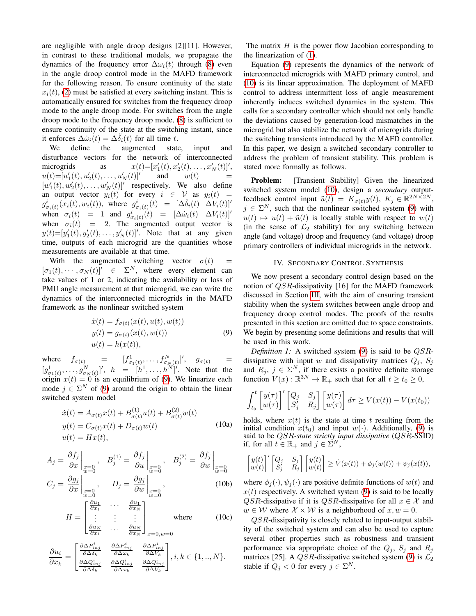are negligible with angle droop designs [2][11]. However, in contrast to these traditional models, we propagate the dynamics of the frequency error  $\Delta \omega_i(t)$  through [\(8\)](#page-2-4) even in the angle droop control mode in the MAFD framework for the following reason. To ensure continuity of the state  $x_i(t)$ , [\(2\)](#page-1-1) must be satisfied at every switching instant. This is automatically ensured for switches from the frequency droop mode to the angle droop mode. For switches from the angle droop mode to the frequency droop mode, [\(8\)](#page-2-4) is sufficient to ensure continuity of the state at the switching instant, since it enforces  $\Delta \dot{\omega}_i(t) = \Delta \ddot{\delta}_i(t)$  for all time t.

We define the augmented state, input and disturbance vectors for the network of interconnected microgrids as  $C'_1(t), x'_2(t), \ldots, x'_N(t)]',$  $u(t) = [u'_1(t), u'_2(t), \ldots, u'_N(t)]'$ and  $w(t)$  $[w'_1(t), w'_2(t), \dots, w'_N(t)]'$  respectively. We also define an output vector  $y_i(t)$  for every  $i \in V$  as  $y_i(t) =$  $g_{\sigma_i(t)}^i(x_i(t), w_i(t)),$  where  $g_{\sigma_i(t)}^i(t) = [\Delta \dot{\delta}_i(t) \ \Delta V_i(t)]'$ when  $\sigma_i(t) = 1$  and  $g_{\sigma_i(t)}^i(t) = [\Delta \dot{\omega}_i(t) \ \Delta V_i(t)]'$ when  $\sigma_i(t) = 2$ . The augmented output vector is  $y(t) = [y'_1(t), y'_2(t), \dots, y'_N(t)]'$ . Note that at any given time, outputs of each microgrid are the quantities whose measurements are available at that time.

With the augmented switching vector  $\sigma(t)$  $[\sigma_1(t), \cdots, \sigma_N(t)]' \in \Sigma^N$ , where every element can take values of 1 or 2, indicating the availability or loss of PMU angle measurement at that microgrid, we can write the dynamics of the interconnected microgrids in the MAFD framework as the nonlinear switched system

<span id="page-3-0"></span>
$$
\begin{aligned} \dot{x}(t) &= f_{\sigma(t)}(x(t), u(t), w(t)) \\ y(t) &= g_{\sigma(t)}(x(t), w(t)) \\ u(t) &= h(x(t)), \end{aligned} \tag{9}
$$

where  $f_{\sigma(t)}$  =  $[f_{\sigma_1(t)}^1, \ldots, f_{\sigma_N(t)}^N]^t, \quad g_{\sigma(t)}$  =  $[g_{\sigma_1(t)}^1, \ldots, g_{\sigma_N(t)}^N]^{\prime}, \; h = [h^1, \ldots, h^N]^{\prime}$ . Note that the origin  $x(t) = 0$  is an equilibrium of [\(9\)](#page-3-0). We linearize each mode  $j \in \Sigma^N$  of [\(9\)](#page-3-0) around the origin to obtain the linear switched system model

<span id="page-3-1"></span>
$$
\begin{aligned}\n\dot{x}(t) &= A_{\sigma(t)}x(t) + B_{\sigma(t)}^{(1)}u(t) + B_{\sigma(t)}^{(2)}w(t) \\
y(t) &= C_{\sigma(t)}x(t) + D_{\sigma(t)}w(t) \\
u(t) &= Hx(t),\n\end{aligned} \tag{10a}
$$

$$
A_j = \frac{\partial f_j}{\partial x}\Big|_{\substack{x=0 \ w=0}} ,\quad B_j^{(1)} = \frac{\partial f_j}{\partial u}\Big|_{\substack{x=0 \ w=0}} ,\quad B_j^{(2)} = \frac{\partial f_j}{\partial w}\Big|_{\substack{x=0 \ w=0}} ,\quad C_j = \frac{\partial g_j}{\partial x}\Big|_{\substack{x=0 \ w=0}} ,\quad D_j = \frac{\partial g_j}{\partial w}\Big|_{\substack{x=0 \ w=0}} ,\quad (10b)
$$

$$
H = \begin{bmatrix} \frac{\partial u_1}{\partial x_1} & \cdots & \frac{\partial u_1}{\partial x_N} \\ \vdots & \vdots & \vdots \\ \frac{\partial u_N}{\partial x_1} & \cdots & \frac{\partial u_N}{\partial x_N} \end{bmatrix}_{x=0, w=0}
$$
 (10c)

$$
\frac{\partial u_i}{\partial x_k} = \begin{bmatrix}\frac{\partial \Delta P^i_{inj}}{\partial \Delta \delta_k} & \frac{\partial \Delta P^i_{inj}}{\partial \Delta \omega_k} & \frac{\partial \Delta P^i_{inj}}{\partial \Delta V_k} \\ \frac{\partial \Delta Q^i_{inj}}{\partial \Delta \delta_k} & \frac{\partial \Delta Q^i_{inj}}{\partial \Delta \omega_k} & \frac{\partial \Delta Q^i_{inj}}{\partial \Delta V_k} \end{bmatrix}, i,k \in \{1,..,N\}.
$$

The matrix  $H$  is the power flow Jacobian corresponding to the linearization of [\(1\)](#page-1-0).

Equation [\(9\)](#page-3-0) represents the dynamics of the network of interconnected microgrids with MAFD primary control, and [\(10\)](#page-3-1) is its linear approximation. The deployment of MAFD control to address intermittent loss of angle measurement inherently induces switched dynamics in the system. This calls for a secondary controller which should not only handle the deviations caused by generation-load mismatches in the microgrid but also stabilize the network of microgrids during the switching transients introduced by the MAFD controller. In this paper, we design a switched secondary controller to address the problem of transient stability. This problem is stated more formally as follows.

Problem: [Transient Stability] Given the linearized switched system model [\(10\)](#page-3-1), design a *secondary* outputfeedback control input  $\tilde{u}(t) = K_{\sigma(t)} y(t), K_j \in \mathbb{R}^{2N \times 2N}$ ,  $j \in \Sigma^N$ , such that the nonlinear switched system [\(9\)](#page-3-0) with  $u(t) \mapsto u(t) + \tilde{u}(t)$  is locally stable with respect to  $w(t)$ (in the sense of  $\mathcal{L}_2$  stability) for any switching between angle (and voltage) droop and frequency (and voltage) droop primary controllers of individual microgrids in the network.

#### IV. SECONDARY CONTROL SYNTHESIS

We now present a secondary control design based on the notion of QSR-dissipativity [16] for the MAFD framework discussed in Section [III,](#page-2-5) with the aim of ensuring transient stability when the system switches between angle droop and frequency droop control modes. The proofs of the results presented in this section are omitted due to space constraints. We begin by presenting some definitions and results that will be used in this work.

*Definition 1:* A switched system [\(9\)](#page-3-0) is said to be *QSR*dissipative with input w and dissipativity matrices  $Q_i$ ,  $S_i$ and  $R_j$ ,  $j \in \Sigma^N$ , if there exists a positive definite storage function  $V(x): \mathbb{R}^{3N} \to \mathbb{R}_+$  such that for all  $t \ge t_0 \ge 0$ ,

$$
\int_{t_0}^t \begin{bmatrix} y(\tau) \\ w(\tau) \end{bmatrix}' \begin{bmatrix} Q_j & S_j \\ S'_j & R_j \end{bmatrix} \begin{bmatrix} y(\tau) \\ w(\tau) \end{bmatrix} d\tau \ge V(x(t)) - V(x(t_0))
$$

holds, where  $x(t)$  is the state at time t resulting from the initial condition  $x(t_0)$  and input  $w(\cdot)$ . Additionally, [\(9\)](#page-3-0) is said to be QSR*-state strictly input dissipative* (QSR-SSID) if, for all  $t \in \mathbb{R}_+$  and  $j \in \Sigma^N$ ,

$$
\begin{bmatrix} y(t) \\ w(t) \end{bmatrix}' \begin{bmatrix} Q_j & S_j \\ S'_j & R_j \end{bmatrix} \begin{bmatrix} y(t) \\ w(t) \end{bmatrix} \geq \dot{V}(x(t)) + \phi_j(w(t)) + \psi_j(x(t)),
$$

where  $\phi_i(\cdot), \psi_i(\cdot)$  are positive definite functions of  $w(t)$  and  $x(t)$  respectively. A switched system [\(9\)](#page-3-0) is said to be locally QSR-dissipative if it is QSR-dissipative for all  $x \in \mathcal{X}$  and  $w \in W$  where  $\mathcal{X} \times \mathcal{W}$  is a neighborhood of  $x, w = 0$ .

QSR-dissipativity is closely related to input-output stability of the switched system and can also be used to capture several other properties such as robustness and transient performance via appropriate choice of the  $Q_i$ ,  $S_i$  and  $R_i$ matrices [25]. A *QSR*-dissipative switched system [\(9\)](#page-3-0) is  $\mathcal{L}_2$ stable if  $Q_j < 0$  for every  $j \in \Sigma^N$ .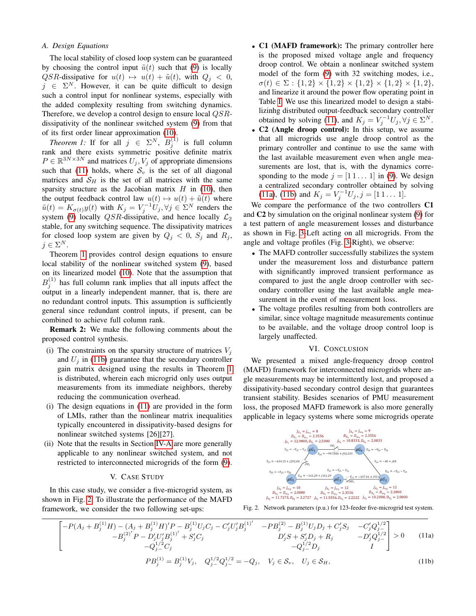### <span id="page-4-3"></span>*A. Design Equations*

The local stability of closed loop system can be guaranteed by choosing the control input  $\tilde{u}(t)$  such that [\(9\)](#page-3-0) is locally QSR-dissipative for  $u(t) \mapsto u(t) + \tilde{u}(t)$ , with  $Q_j < 0$ ,  $j \in \Sigma^N$ . However, it can be quite difficult to design such a control input for nonlinear systems, especially with the added complexity resulting from switching dynamics. Therefore, we develop a control design to ensure local QSRdissipativity of the nonlinear switched system [\(9\)](#page-3-0) from that of its first order linear approximation [\(10\)](#page-3-1).

*Theorem 1:* If for all  $j \in \Sigma^N$ ,  $B_j^{(1)}$  is full column rank and there exists symmetric positive definite matrix  $P \in \mathbb{R}^{3N \times 3N}$  and matrices  $U_j, V_j$  of appropriate dimensions such that [\(11\)](#page-4-0) holds, where  $S_v$  is the set of all diagonal matrices and  $S_H$  is the set of all matrices with the same sparsity structure as the Jacobian matrix  $H$  in [\(10\)](#page-3-1), then the output feedback control law  $u(t) \mapsto u(t) + \tilde{u}(t)$  where  $\tilde{u}(t) = K_{\sigma(t)}y(t)$  with  $K_j = V_j^{-1}U_j, \forall j \in \Sigma^N$  renders the system [\(9\)](#page-3-0) locally *QSR*-dissipative, and hence locally  $\mathcal{L}_2$ stable, for any switching sequence. The dissipativity matrices for closed loop system are given by  $Q_j < 0$ ,  $S_j$  and  $R_j$ ,  $j \in \Sigma^N$ .

Theorem [1](#page-4-1) provides control design equations to ensure local stability of the nonlinear switched system [\(9\)](#page-3-0), based on its linearized model [\(10\)](#page-3-1). Note that the assumption that  $B_j^{(1)}$  has full column rank implies that all inputs affect the output in a linearly independent manner, that is, there are no redundant control inputs. This assumption is sufficiently general since redundant control inputs, if present, can be combined to achieve full column rank.

Remark 2: We make the following comments about the proposed control synthesis.

- (i) The constraints on the sparsity structure of matrices  $V_j$ and  $U_j$  in [\(11b\)](#page-4-2) guarantee that the secondary controller gain matrix designed using the results in Theorem [1](#page-4-1) is distributed, wherein each microgrid only uses output measurements from its immediate neighbors, thereby reducing the communication overhead.
- (i) The design equations in [\(11\)](#page-4-0) are provided in the form of LMIs, rather than the nonlinear matrix inequalities typically encountered in dissipativity-based designs for nonlinear switched systems [26][27].
- (ii) Note that the results in Section [IV-A](#page-4-3) are more generally applicable to any nonlinear switched system, and not restricted to interconnected microgrids of the form [\(9\)](#page-3-0).

### <span id="page-4-2"></span>V. CASE STUDY

In this case study, we consider a five-microgrid system, as shown in Fig. [2.](#page-4-4) To illustrate the performance of the MAFD framework, we consider the two following set-ups:

- C1 (MAFD framework): The primary controller here is the proposed mixed voltage angle and frequency droop control. We obtain a nonlinear switched system model of the form [\(9\)](#page-3-0) with 32 switching modes, i.e.,  $\sigma(t) \in \Sigma : \{1,2\} \times \{1,2\} \times \{1,2\} \times \{1,2\} \times \{1,2\},$ and linearize it around the power flow operating point in Table [I.](#page-5-0) We use this linearized model to design a stabilizinhg distributed output-feedback secondary controller obtained by solving [\(11\)](#page-4-0), and  $K_j = V_j^{-1}U_j, \forall j \in \Sigma^N$ .
- <span id="page-4-1"></span>• C2 (Angle droop control): In this setup, we assume that all microgrids use angle droop control as the primary controller and continue to use the same with the last available measurement even when angle measurements are lost, that is, with the dynamics corresponding to the mode  $j = [1 1 \dots 1]$  in [\(9\)](#page-3-0). We design a centralized secondary controller obtained by solving [\(11a\)](#page-4-5), [\(11b\)](#page-4-2) and  $K_j = V_j^{-1}U_j$ ,  $j = [1 1 ... 1]$ .

We compare the performance of the two controllers C1 and C2 by simulation on the original nonlinear system [\(9\)](#page-3-0) for a test pattern of angle measurement losses and disturbance as shown in Fig. [3-](#page-5-1)Left acting on all microgrids. From the angle and voltage profiles (Fig. [3-](#page-5-1)Right), we observe:

- The MAFD controller successfully stabilizes the system under the measurement loss and disturbance pattern with significantly improved transient performance as compared to just the angle droop controller with secondary controller using the last available angle measurement in the event of measurement loss.
- The voltage profiles resulting from both controllers are similar, since voltage magnitude measurements continue to be available, and the voltage droop control loop is largely unaffected.

#### VI. CONCLUSION

We presented a mixed angle-frequency droop control (MAFD) framework for interconnected microgrids where angle measurements may be intermittently lost, and proposed a dissipativity-based secondary control design that guarantees transient stability. Besides scenarios of PMU measurement loss, the proposed MAFD framework is also more generally applicable in legacy systems where some microgrids operate

<span id="page-4-0"></span>

<span id="page-4-4"></span>Fig. 2. Network parameters (p.u.) for 123-feeder five-microgrid test system.

<span id="page-4-5"></span>
$$
\begin{bmatrix}\n-P(A_j + B_j^{(1)}H) - (A_j + B_j^{(1)}H)'P - B_j^{(1)}U_jC_j - C_j'U_j'B_j^{(1)'} & -PB_j^{(2)} - B_j^{(1)}U_jD_j + C_j'S_j & -C_j'Q_j^{1/2} \\
-B_j^{(2)'}P - D_j'U_j'B_j^{(1)'} + S_j'C_j & D_j'S + S_j'D_j + R_j & -D_j'Q_j^{1/2} \\
-A_j^{1/2}C_j & -Q_j^{1/2}D_j & I\n\end{bmatrix} > 0
$$
\n(11a)  
\n
$$
PB_j^{(1)} = B_j^{(1)}V_j, \quad Q_j^{1/2}Q_j^{1/2} = -Q_j, \quad V_j \in \mathcal{S}_v, \quad U_j \in \mathcal{S}_H,
$$
\n(11b)